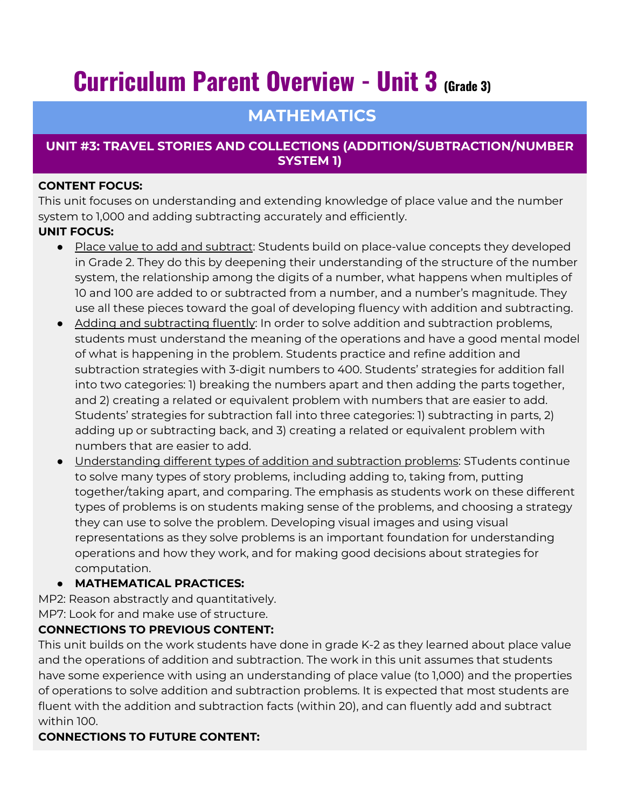# **Curriculum Parent Overview - Unit 3 (Grade 3)**

## **MATHEMATICS**

#### **UNIT #3: TRAVEL STORIES AND COLLECTIONS (ADDITION/SUBTRACTION/NUMBER SYSTEM 1)**

#### **CONTENT FOCUS:**

This unit focuses on understanding and extending knowledge of place value and the number system to 1,000 and adding subtracting accurately and efficiently.

#### **UNIT FOCUS:**

- Place value to add and subtract: Students build on place-value concepts they developed in Grade 2. They do this by deepening their understanding of the structure of the number system, the relationship among the digits of a number, what happens when multiples of 10 and 100 are added to or subtracted from a number, and a number's magnitude. They use all these pieces toward the goal of developing fluency with addition and subtracting.
- Adding and subtracting fluently: In order to solve addition and subtraction problems, students must understand the meaning of the operations and have a good mental model of what is happening in the problem. Students practice and refine addition and subtraction strategies with 3-digit numbers to 400. Students' strategies for addition fall into two categories: 1) breaking the numbers apart and then adding the parts together, and 2) creating a related or equivalent problem with numbers that are easier to add. Students' strategies for subtraction fall into three categories: 1) subtracting in parts, 2) adding up or subtracting back, and 3) creating a related or equivalent problem with numbers that are easier to add.
- Understanding different types of addition and subtraction problems: STudents continue to solve many types of story problems, including adding to, taking from, putting together/taking apart, and comparing. The emphasis as students work on these different types of problems is on students making sense of the problems, and choosing a strategy they can use to solve the problem. Developing visual images and using visual representations as they solve problems is an important foundation for understanding operations and how they work, and for making good decisions about strategies for computation.

#### ● **MATHEMATICAL PRACTICES:**

MP2: Reason abstractly and quantitatively.

MP7: Look for and make use of structure.

#### **CONNECTIONS TO PREVIOUS CONTENT:**

This unit builds on the work students have done in grade K-2 as they learned about place value and the operations of addition and subtraction. The work in this unit assumes that students have some experience with using an understanding of place value (to 1,000) and the properties of operations to solve addition and subtraction problems. It is expected that most students are fluent with the addition and subtraction facts (within 20), and can fluently add and subtract within 100.

### **CONNECTIONS TO FUTURE CONTENT:**